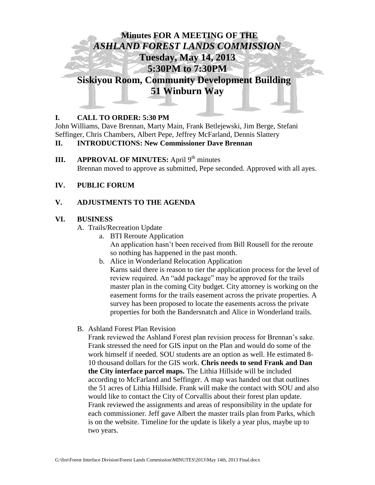

# **I. CALL TO ORDER: 5:30 PM**

John Williams, Dave Brennan, Marty Main, Frank Betlejewski, Jim Berge, Stefani Seffinger, Chris Chambers, Albert Pepe, Jeffrey McFarland, Dennis Slattery

# **II. INTRODUCTIONS: New Commissioner Dave Brennan**

**III. APPROVAL OF MINUTES:** April 9<sup>th</sup> minutes Brennan moved to approve as submitted, Pepe seconded. Approved with all ayes.

### **IV. PUBLIC FORUM**

# **V. ADJUSTMENTS TO THE AGENDA**

### **VI. BUSINESS**

- A. Trails/Recreation Update
	- a. BTI Reroute Application An application hasn't been received from Bill Rousell for the reroute so nothing has happened in the past month.
	- b. Alice in Wonderland Relocation Application Karns said there is reason to tier the application process for the level of review required. An "add package" may be approved for the trails master plan in the coming City budget. City attorney is working on the easement forms for the trails easement across the private properties. A survey has been proposed to locate the easements across the private properties for both the Bandersnatch and Alice in Wonderland trails.
- B. Ashland Forest Plan Revision

Frank reviewed the Ashland Forest plan revision process for Brennan's sake. Frank stressed the need for GIS input on the Plan and would do some of the work himself if needed. SOU students are an option as well. He estimated 8- 10 thousand dollars for the GIS work. **Chris needs to send Frank and Dan the City interface parcel maps.** The Lithia Hillside will be included according to McFarland and Seffinger. A map was handed out that outlines the 51 acres of Lithia Hillside. Frank will make the contact with SOU and also would like to contact the City of Corvallis about their forest plan update. Frank reviewed the assignments and areas of responsibility in the update for each commissioner. Jeff gave Albert the master trails plan from Parks, which is on the website. Timeline for the update is likely a year plus, maybe up to two years.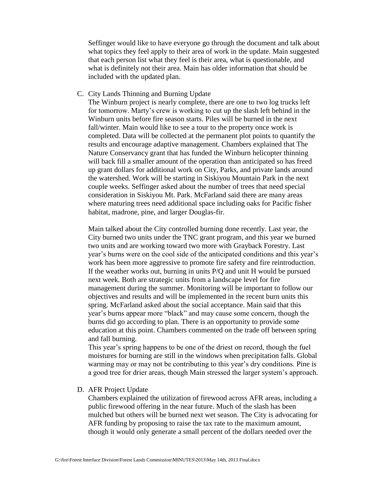Seffinger would like to have everyone go through the document and talk about what topics they feel apply to their area of work in the update. Main suggested that each person list what they feel is their area, what is questionable, and what is definitely not their area. Main has older information that should be included with the updated plan.

#### C. City Lands Thinning and Burning Update

The Winburn project is nearly complete, there are one to two log trucks left for tomorrow. Marty's crew is working to cut up the slash left behind in the Winburn units before fire season starts. Piles will be burned in the next fall/winter. Main would like to see a tour to the property once work is completed. Data will be collected at the permanent plot points to quantify the results and encourage adaptive management. Chambers explained that The Nature Conservancy grant that has funded the Winburn helicopter thinning will back fill a smaller amount of the operation than anticipated so has freed up grant dollars for additional work on City, Parks, and private lands around the watershed. Work will be starting in Siskiyou Mountain Park in the next couple weeks. Seffinger asked about the number of trees that need special consideration in Siskiyou Mt. Park. McFarland said there are many areas where maturing trees need additional space including oaks for Pacific fisher habitat, madrone, pine, and larger Douglas-fir.

Main talked about the City controlled burning done recently. Last year, the City burned two units under the TNC grant program, and this year we burned two units and are working toward two more with Grayback Forestry. Last year's burns were on the cool side of the anticipated conditions and this year's work has been more aggressive to promote fire safety and fire reintroduction. If the weather works out, burning in units P/Q and unit H would be pursued next week. Both are strategic units from a landscape level for fire management during the summer. Monitoring will be important to follow our objectives and results and will be implemented in the recent burn units this spring. McFarland asked about the social acceptance. Main said that this year's burns appear more "black" and may cause some concern, though the burns did go according to plan. There is an opportunity to provide some education at this point. Chambers commented on the trade off between spring and fall burning.

This year's spring happens to be one of the driest on record, though the fuel moistures for burning are still in the windows when precipitation falls. Global warming may or may not be contributing to this year's dry conditions. Pine is a good tree for drier areas, though Main stressed the larger system's approach.

D. AFR Project Update

Chambers explained the utilization of firewood across AFR areas, including a public firewood offering in the near future. Much of the slash has been mulched but others will be burned next wet season. The City is advocating for AFR funding by proposing to raise the tax rate to the maximum amount, though it would only generate a small percent of the dollars needed over the